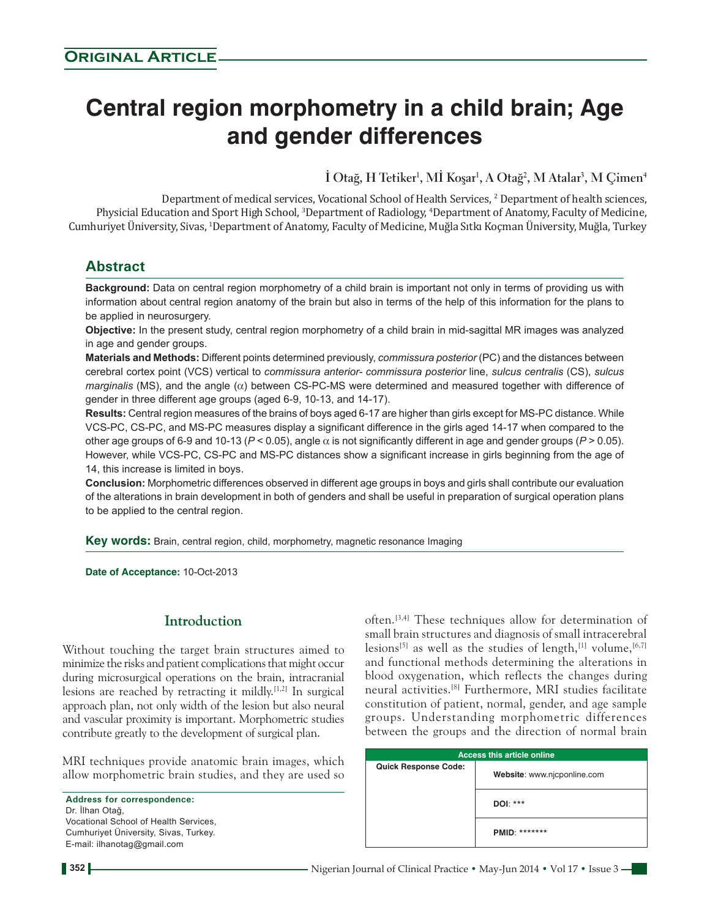# **Central region morphometry in a child brain; Age and gender differences**

**İ Otağ, H Tetiker<sup>1</sup> , Mİ Koşar<sup>1</sup> , A Otağ<sup>2</sup> , M Atalar<sup>3</sup> , M Çimen<sup>4</sup>**

Department of medical services, Vocational School of Health Services, 2 Department of health sciences, Physicial Education and Sport High School, <sup>3</sup>Department of Radiology, <sup>4</sup>Department of Anatomy, Faculty of Medicine, Cumhuriyet University, Sivas, <sup>1</sup>Department of Anatomy, Faculty of Medicine, Muğla Sıtkı Koçman University, Muğla, Turkey

## **Abstract**

**Background:** Data on central region morphometry of a child brain is important not only in terms of providing us with information about central region anatomy of the brain but also in terms of the help of this information for the plans to be applied in neurosurgery.

**Objective:** In the present study, central region morphometry of a child brain in mid‑sagittal MR images was analyzed in age and gender groups.

**Materials and Methods:** Different points determined previously, *commissura posterior* (PC) and the distances between cerebral cortex point (VCS) vertical to *commissura anterior‑ commissura posterior* line, *sulcus centralis* (CS), *sulcus marginalis* (MS), and the angle (α) between CS-PC-MS were determined and measured together with difference of gender in three different age groups (aged 6-9, 10-13, and 14-17).

**Results:** Central region measures of the brains of boys aged 6‑17 are higher than girls except for MS‑PC distance. While VCS‑PC, CS‑PC, and MS‑PC measures display a significant difference in the girls aged 14‑17 when compared to the other age groups of 6-9 and 10-13 ( $P < 0.05$ ), angle  $\alpha$  is not significantly different in age and gender groups ( $P > 0.05$ ). However, while VCS‑PC, CS‑PC and MS‑PC distances show a significant increase in girls beginning from the age of 14, this increase is limited in boys.

**Conclusion:** Morphometric differences observed in different age groups in boys and girls shall contribute our evaluation of the alterations in brain development in both of genders and shall be useful in preparation of surgical operation plans to be applied to the central region.

**Key words:** Brain, central region, child, morphometry, magnetic resonance Imaging

**Date of Acceptance:** 10-Oct-2013

## **Introduction**

Without touching the target brain structures aimed to minimize the risks and patient complications that might occur during microsurgical operations on the brain, intracranial lesions are reached by retracting it mildly.[1,2] In surgical approach plan, not only width of the lesion but also neural and vascular proximity is important. Morphometric studies contribute greatly to the development of surgical plan.

MRI techniques provide anatomic brain images, which allow morphometric brain studies, and they are used so

**Address for correspondence:** Dr. İlhan Otağ, Vocational School of Health Services, Cumhuriyet Üniversity, Sivas, Turkey. E‑mail: ilhanotag@gmail.com

often.[3,4] These techniques allow for determination of small brain structures and diagnosis of small intracerebral lesions<sup>[5]</sup> as well as the studies of length,<sup>[1]</sup> volume,<sup>[6,7]</sup> and functional methods determining the alterations in blood oxygenation, which reflects the changes during neural activities.[8] Furthermore, MRI studies facilitate constitution of patient, normal, gender, and age sample groups. Understanding morphometric differences between the groups and the direction of normal brain

| <b>Access this article online</b> |                             |  |  |
|-----------------------------------|-----------------------------|--|--|
| <b>Quick Response Code:</b>       | Website: www.njcponline.com |  |  |
|                                   | DOI: ***                    |  |  |
|                                   | <b>PMID: *******</b>        |  |  |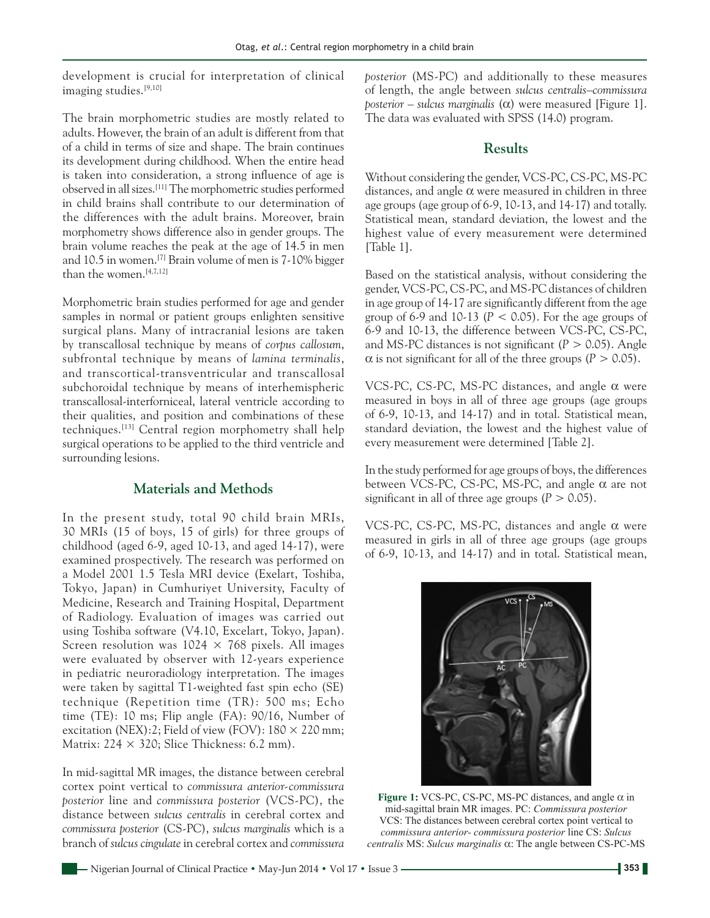development is crucial for interpretation of clinical imaging studies.[9,10]

The brain morphometric studies are mostly related to adults. However, the brain of an adult is different from that of a child in terms of size and shape. The brain continues its development during childhood. When the entire head is taken into consideration, a strong influence of age is observed in all sizes.[11] The morphometric studies performed in child brains shall contribute to our determination of the differences with the adult brains. Moreover, brain morphometry shows difference also in gender groups. The brain volume reaches the peak at the age of 14.5 in men and 10.5 in women.[7] Brain volume of men is 7‑10% bigger than the women.<sup>[4,7,12]</sup>

Morphometric brain studies performed for age and gender samples in normal or patient groups enlighten sensitive surgical plans. Many of intracranial lesions are taken by transcallosal technique by means of *corpus callosum*, subfrontal technique by means of *lamina terminalis*, and transcortical‑transventricular and transcallosal subchoroidal technique by means of interhemispheric transcallosal‑interforniceal, lateral ventricle according to their qualities, and position and combinations of these techniques.[13] Central region morphometry shall help surgical operations to be applied to the third ventricle and surrounding lesions.

### **Materials and Methods**

In the present study, total 90 child brain MRIs, 30 MRIs (15 of boys, 15 of girls) for three groups of childhood (aged 6‑9, aged 10‑13, and aged 14‑17), were examined prospectively. The research was performed on a Model 2001 1.5 Tesla MRI device (Exelart, Toshiba, Tokyo, Japan) in Cumhuriyet University, Faculty of Medicine, Research and Training Hospital, Department of Radiology. Evaluation of images was carried out using Toshiba software (V4.10, Excelart, Tokyo, Japan). Screen resolution was  $1024 \times 768$  pixels. All images were evaluated by observer with 12-years experience in pediatric neuroradiology interpretation. The images were taken by sagittal T1‑weighted fast spin echo (SE) technique (Repetition time (TR): 500 ms; Echo time (TE): 10 ms; Flip angle (FA): 90/16, Number of excitation (NEX):2; Field of view (FOV):  $180 \times 220$  mm; Matrix:  $224 \times 320$ ; Slice Thickness: 6.2 mm).

In mid‑sagittal MR images, the distance between cerebral cortex point vertical to *commissura anterior‑commissura posterior* line and *commissura posterior* (VCS‑PC), the distance between *sulcus centralis* in cerebral cortex and *commissura posterior* (CS‑PC), *sulcus marginalis* which is a branch of *sulcus cingulate* in cerebral cortex and *commissura*  *posterior* (MS‑PC) and additionally to these measures of length, the angle between *sulcus centralis–commissura posterior* – *sulcus marginalis* ( $\alpha$ ) were measured [Figure 1]. The data was evaluated with SPSS (14.0) program.

## **Results**

Without considering the gender, VCS‑PC, CS‑PC, MS‑PC distances, and angle  $\alpha$  were measured in children in three age groups (age group of 6‑9, 10‑13, and 14‑17) and totally. Statistical mean, standard deviation, the lowest and the highest value of every measurement were determined [Table 1].

Based on the statistical analysis, without considering the gender, VCS‑PC, CS‑PC, and MS‑PC distances of children in age group of 14‑17 are significantly different from the age group of  $6-9$  and  $10-13$  ( $P < 0.05$ ). For the age groups of 6‑9 and 10‑13, the difference between VCS‑PC, CS‑PC, and MS‑PC distances is not significant (*P* > 0.05). Angle  $\alpha$  is not significant for all of the three groups ( $P > 0.05$ ).

VCS-PC, CS-PC, MS-PC distances, and angle  $\alpha$  were measured in boys in all of three age groups (age groups of 6‑9, 10‑13, and 14‑17) and in total. Statistical mean, standard deviation, the lowest and the highest value of every measurement were determined [Table 2].

In the study performed for age groups of boys, the differences between VCS-PC, CS-PC, MS-PC, and angle  $\alpha$  are not significant in all of three age groups  $(P > 0.05)$ .

VCS‑PC, CS‑PC, MS‑PC, distances and angle α were measured in girls in all of three age groups (age groups of 6‑9, 10‑13, and 14‑17) and in total. Statistical mean,



**Figure 1:** VCS‑PC, CS‑PC, MS‑PC distances, and angle α in mid‑sagittal brain MR images. PC: *Commissura posterior* VCS: The distances between cerebral cortex point vertical to *commissura anterior‑ commissura posterior* line CS: *Sulcus centralis* MS: *Sulcus marginalis* α: The angle between CS‑PC‑MS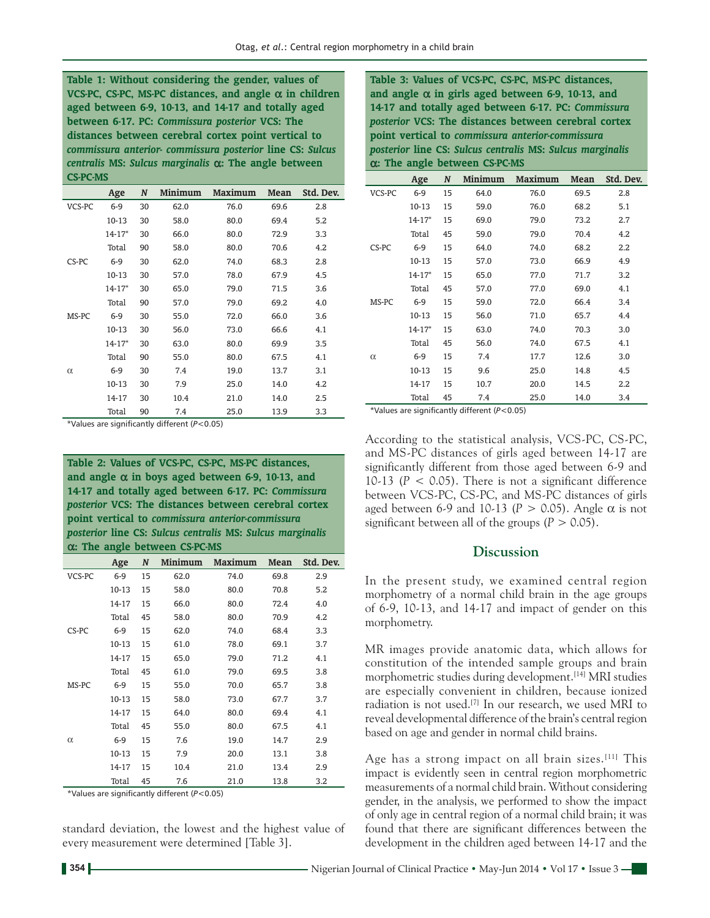**Table 1: Without considering the gender, values of VCS‑PC, CS‑PC, MS‑PC distances, and angle** α **in children aged between 6‑9, 10‑13, and 14‑17 and totally aged between 6‑17. PC:** *Commissura posterior* **VCS: The distances between cerebral cortex point vertical to**  *commissura anterior‑ commissura posterior* **line CS:** *Sulcus centralis* **MS:** *Sulcus marginalis* α**: The angle between CS‑PC‑MS**

|          | Age        | N  | Minimum | <b>Maximum</b> | Mean | Std. Dev. |
|----------|------------|----|---------|----------------|------|-----------|
| VCS-PC   | $6-9$      | 30 | 62.0    | 76.0           | 69.6 | 2.8       |
|          | 10-13      | 30 | 58.0    | 80.0           | 69.4 | 5.2       |
|          | $14 - 17*$ | 30 | 66.0    | 80.0           | 72.9 | 3.3       |
|          | Total      | 90 | 58.0    | 80.0           | 70.6 | 4.2       |
| CS-PC    | $6-9$      | 30 | 62.0    | 74.0           | 68.3 | 2.8       |
|          | $10-13$    | 30 | 57.0    | 78.0           | 67.9 | 4.5       |
|          | $14 - 17*$ | 30 | 65.0    | 79.0           | 71.5 | 3.6       |
|          | Total      | 90 | 57.0    | 79.0           | 69.2 | 4.0       |
| MS-PC    | $6-9$      | 30 | 55.0    | 72.0           | 66.0 | 3.6       |
|          | 10-13      | 30 | 56.0    | 73.0           | 66.6 | 4.1       |
|          | $14 - 17*$ | 30 | 63.0    | 80.0           | 69.9 | 3.5       |
|          | Total      | 90 | 55.0    | 80.0           | 67.5 | 4.1       |
| $\alpha$ | $6-9$      | 30 | 7.4     | 19.0           | 13.7 | 3.1       |
|          | 10-13      | 30 | 7.9     | 25.0           | 14.0 | 4.2       |
|          | 14-17      | 30 | 10.4    | 21.0           | 14.0 | 2.5       |
|          | Total      | 90 | 7.4     | 25.0           | 13.9 | 3.3       |

\*Values are significantly different (*P*<0.05)

**Table 2: Values of VCS‑PC, CS‑PC, MS‑PC distances, and angle** α **in boys aged between 6‑9, 10‑13, and 14‑17 and totally aged between 6‑17. PC:** *Commissura posterior* **VCS: The distances between cerebral cortex point vertical to** *commissura anterior‑commissura posterior* **line CS:** *Sulcus centralis* **MS:** *Sulcus marginalis* α**: The angle between CS‑PC‑MS**

|          | Age   | N  | Minimum | Maximum | Mean | Std. Dev. |
|----------|-------|----|---------|---------|------|-----------|
| VCS-PC   | $6-9$ | 15 | 62.0    | 74.0    | 69.8 | 2.9       |
|          | 10-13 | 15 | 58.0    | 80.0    | 70.8 | 5.2       |
|          | 14-17 | 15 | 66.0    | 80.0    | 72.4 | 4.0       |
|          | Total | 45 | 58.0    | 80.0    | 70.9 | 4.2       |
| CS-PC    | $6-9$ | 15 | 62.0    | 74.0    | 68.4 | 3.3       |
|          | 10-13 | 15 | 61.0    | 78.0    | 69.1 | 3.7       |
|          | 14-17 | 15 | 65.0    | 79.0    | 71.2 | 4.1       |
|          | Total | 45 | 61.0    | 79.0    | 69.5 | 3.8       |
| MS-PC    | $6-9$ | 15 | 55.0    | 70.0    | 65.7 | 3.8       |
|          | 10-13 | 15 | 58.0    | 73.0    | 67.7 | 3.7       |
|          | 14-17 | 15 | 64.0    | 80.0    | 69.4 | 4.1       |
|          | Total | 45 | 55.0    | 80.0    | 67.5 | 4.1       |
| $\alpha$ | $6-9$ | 15 | 7.6     | 19.0    | 14.7 | 2.9       |
|          | 10-13 | 15 | 7.9     | 20.0    | 13.1 | 3.8       |
|          | 14-17 | 15 | 10.4    | 21.0    | 13.4 | 2.9       |
|          | Total | 45 | 7.6     | 21.0    | 13.8 | 3.2       |

\*Values are significantly different (*P*<0.05)

standard deviation, the lowest and the highest value of every measurement were determined [Table 3].

**Table 3: Values of VCS‑PC, CS‑PC, MS‑PC distances, and angle** α **in girls aged between 6‑9, 10‑13, and 14‑17 and totally aged between 6‑17. PC:** *Commissura posterior* **VCS: The distances between cerebral cortex point vertical to** *commissura anterior‑commissura posterior* **line CS:** *Sulcus centralis* **MS:** *Sulcus marginalis* α**: The angle between CS‑PC‑MS**

|          | Age        | N  | <b>Minimum</b> | <b>Maximum</b> | Mean | Std. Dev. |
|----------|------------|----|----------------|----------------|------|-----------|
| VCS-PC   | $6-9$      | 15 | 64.0           | 76.0           | 69.5 | 2.8       |
|          | 10-13      | 15 | 59.0           | 76.0           | 68.2 | 5.1       |
|          | $14 - 17*$ | 15 | 69.0           | 79.0           | 73.2 | 2.7       |
|          | Total      | 45 | 59.0           | 79.0           | 70.4 | 4.2       |
| CS-PC    | $6-9$      | 15 | 64.0           | 74.0           | 68.2 | 2.2       |
|          | 10-13      | 15 | 57.0           | 73.0           | 66.9 | 4.9       |
|          | $14 - 17*$ | 15 | 65.0           | 77.0           | 71.7 | 3.2       |
|          | Total      | 45 | 57.0           | 77.0           | 69.0 | 4.1       |
| MS-PC    | $6-9$      | 15 | 59.0           | 72.0           | 66.4 | 3.4       |
|          | $10-13$    | 15 | 56.0           | 71.0           | 65.7 | 4.4       |
|          | $14 - 17*$ | 15 | 63.0           | 74.0           | 70.3 | 3.0       |
|          | Total      | 45 | 56.0           | 74.0           | 67.5 | 4.1       |
| $\alpha$ | $6-9$      | 15 | 7.4            | 17.7           | 12.6 | 3.0       |
|          | $10-13$    | 15 | 9.6            | 25.0           | 14.8 | 4.5       |
|          | 14-17      | 15 | 10.7           | 20.0           | 14.5 | 2.2       |
|          | Total      | 45 | 7.4            | 25.0           | 14.0 | 3.4       |

\*Values are significantly different (*P*<0.05)

According to the statistical analysis, VCS‑PC, CS‑PC, and MS‑PC distances of girls aged between 14‑17 are significantly different from those aged between 6‑9 and 10-13 ( $P < 0.05$ ). There is not a significant difference between VCS‑PC, CS‑PC, and MS‑PC distances of girls aged between 6-9 and 10-13 ( $P > 0.05$ ). Angle  $\alpha$  is not significant between all of the groups  $(P > 0.05)$ .

#### **Discussion**

In the present study, we examined central region morphometry of a normal child brain in the age groups of 6‑9, 10‑13, and 14‑17 and impact of gender on this morphometry.

MR images provide anatomic data, which allows for constitution of the intended sample groups and brain morphometric studies during development.<sup>[14]</sup> MRI studies are especially convenient in children, because ionized radiation is not used.[7] In our research, we used MRI to reveal developmental difference of the brain's central region based on age and gender in normal child brains.

Age has a strong impact on all brain sizes.<sup>[11]</sup> This impact is evidently seen in central region morphometric measurements of a normal child brain. Without considering gender, in the analysis, we performed to show the impact of only age in central region of a normal child brain; it was found that there are significant differences between the development in the children aged between 14‑17 and the